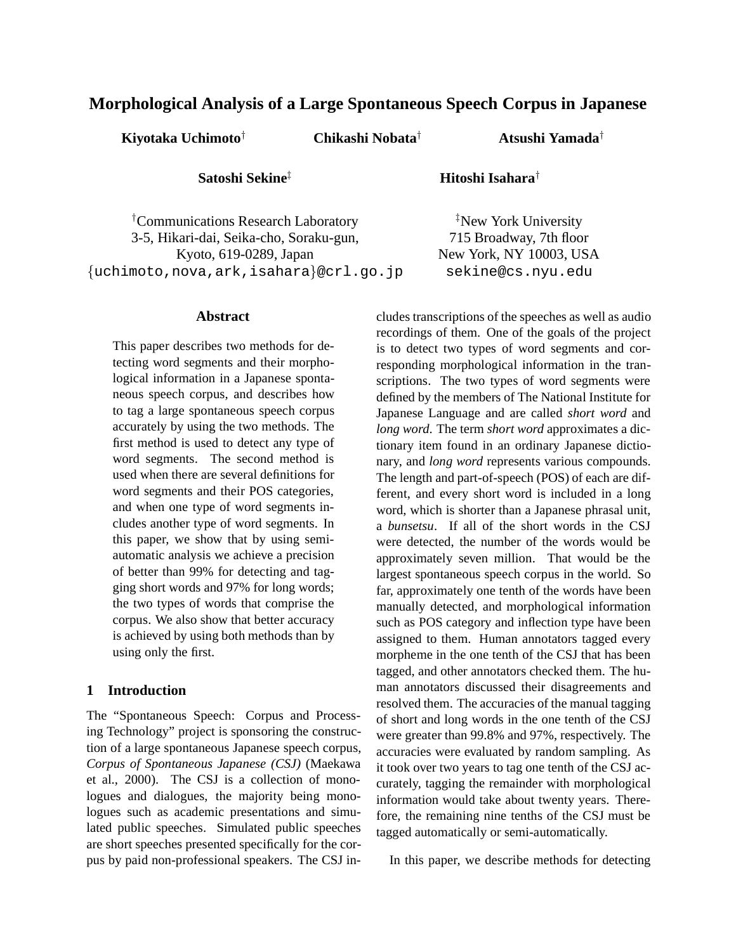# **Morphological Analysis of a Large Spontaneous Speech Corpus in Japanese**

**Kiyotaka Uchimoto***†* **Chikashi Nobata***†* **Atsushi Yamada***†*

**Satoshi Sekine***‡* **Hitoshi Isahara***†*

*‡* New York University 715 Broadway, 7th floor New York, NY 10003, USA sekine@cs.nyu.edu

*†* Communications Research Laboratory 3-5, Hikari-dai, Seika-cho, Soraku-gun, Kyoto, 619-0289, Japan {uchimoto,nova,ark,isahara}@crl.go.jp

# **Abstract**

This paper describes two methods for detecting word segments and their morphological information in a Japanese spontaneous speech corpus, and describes how to tag a large spontaneous speech corpus accurately by using the two methods. The first method is used to detect any type of word segments. The second method is used when there are several definitions for word segments and their POS categories, and when one type of word segments includes another type of word segments. In this paper, we show that by using semiautomatic analysis we achieve a precision of better than 99% for detecting and tagging short words and 97% for long words; the two types of words that comprise the corpus. We also show that better accuracy is achieved by using both methods than by using only the first.

# **1 Introduction**

The "Spontaneous Speech: Corpus and Processing Technology" project is sponsoring the construction of a large spontaneous Japanese speech corpus, *Corpus of Spontaneous Japanese (CSJ)* (Maekawa et al., 2000). The CSJ is a collection of monologues and dialogues, the majority being monologues such as academic presentations and simulated public speeches. Simulated public speeches are short speeches presented specifically for the corpus by paid non-professional speakers. The CSJ includes transcriptions of the speeches as well as audio recordings of them. One of the goals of the project is to detect two types of word segments and corresponding morphological information in the transcriptions. The two types of word segments were defined by the members of The National Institute for Japanese Language and are called *short word* and *long word*. The term *short word* approximates a dictionary item found in an ordinary Japanese dictionary, and *long word* represents various compounds. The length and part-of-speech (POS) of each are different, and every short word is included in a long word, which is shorter than a Japanese phrasal unit, a *bunsetsu*. If all of the short words in the CSJ were detected, the number of the words would be approximately seven million. That would be the largest spontaneous speech corpus in the world. So far, approximately one tenth of the words have been manually detected, and morphological information such as POS category and inflection type have been assigned to them. Human annotators tagged every morpheme in the one tenth of the CSJ that has been tagged, and other annotators checked them. The human annotators discussed their disagreements and resolved them. The accuracies of the manual tagging of short and long words in the one tenth of the CSJ were greater than 99.8% and 97%, respectively. The accuracies were evaluated by random sampling. As it took over two years to tag one tenth of the CSJ accurately, tagging the remainder with morphological information would take about twenty years. Therefore, the remaining nine tenths of the CSJ must be tagged automatically or semi-automatically.

In this paper, we describe methods for detecting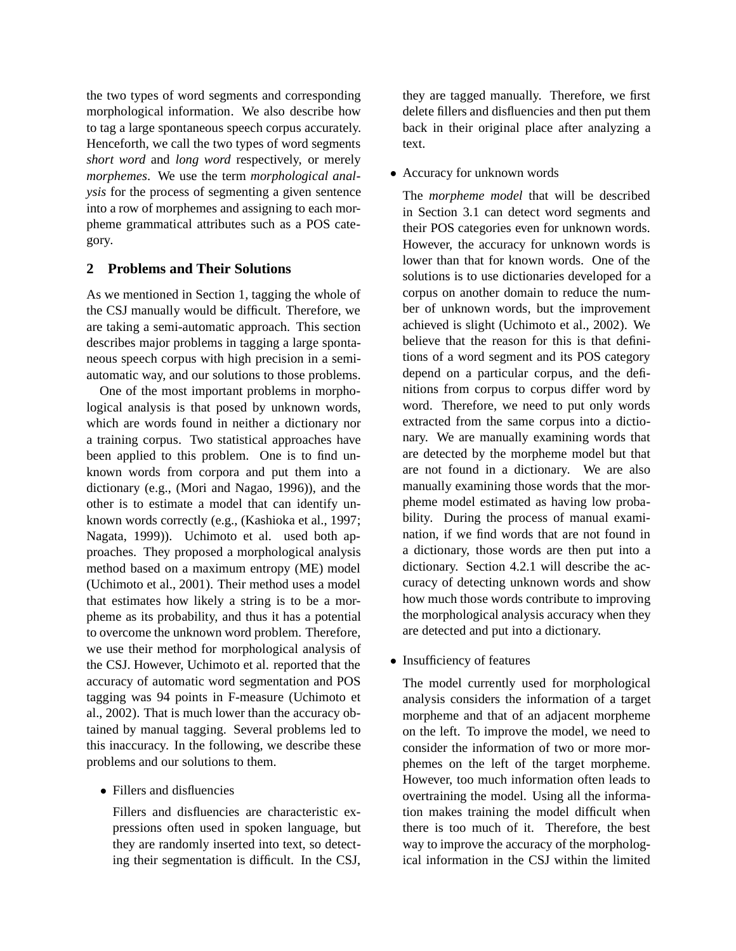the two types of word segments and corresponding morphological information. We also describe how to tag a large spontaneous speech corpus accurately. Henceforth, we call the two types of word segments *short word* and *long word* respectively, or merely *morphemes*. We use the term *morphological analysis* for the process of segmenting a given sentence into a row of morphemes and assigning to each morpheme grammatical attributes such as a POS category.

# **2 Problems and Their Solutions**

As we mentioned in Section 1, tagging the whole of the CSJ manually would be difficult. Therefore, we are taking a semi-automatic approach. This section describes major problems in tagging a large spontaneous speech corpus with high precision in a semiautomatic way, and our solutions to those problems.

One of the most important problems in morphological analysis is that posed by unknown words, which are words found in neither a dictionary nor a training corpus. Two statistical approaches have been applied to this problem. One is to find unknown words from corpora and put them into a dictionary (e.g., (Mori and Nagao, 1996)), and the other is to estimate a model that can identify unknown words correctly (e.g., (Kashioka et al., 1997; Nagata, 1999)). Uchimoto et al. used both approaches. They proposed a morphological analysis method based on a maximum entropy (ME) model (Uchimoto et al., 2001). Their method uses a model that estimates how likely a string is to be a morpheme as its probability, and thus it has a potential to overcome the unknown word problem. Therefore, we use their method for morphological analysis of the CSJ. However, Uchimoto et al. reported that the accuracy of automatic word segmentation and POS tagging was 94 points in F-measure (Uchimoto et al., 2002). That is much lower than the accuracy obtained by manual tagging. Several problems led to this inaccuracy. In the following, we describe these problems and our solutions to them.

• Fillers and disfluencies

Fillers and disfluencies are characteristic expressions often used in spoken language, but they are randomly inserted into text, so detecting their segmentation is difficult. In the CSJ, they are tagged manually. Therefore, we first delete fillers and disfluencies and then put them back in their original place after analyzing a text.

• Accuracy for unknown words

The *morpheme model* that will be described in Section 3.1 can detect word segments and their POS categories even for unknown words. However, the accuracy for unknown words is lower than that for known words. One of the solutions is to use dictionaries developed for a corpus on another domain to reduce the number of unknown words, but the improvement achieved is slight (Uchimoto et al., 2002). We believe that the reason for this is that definitions of a word segment and its POS category depend on a particular corpus, and the definitions from corpus to corpus differ word by word. Therefore, we need to put only words extracted from the same corpus into a dictionary. We are manually examining words that are detected by the morpheme model but that are not found in a dictionary. We are also manually examining those words that the morpheme model estimated as having low probability. During the process of manual examination, if we find words that are not found in a dictionary, those words are then put into a dictionary. Section 4.2.1 will describe the accuracy of detecting unknown words and show how much those words contribute to improving the morphological analysis accuracy when they are detected and put into a dictionary.

• Insufficiency of features

The model currently used for morphological analysis considers the information of a target morpheme and that of an adjacent morpheme on the left. To improve the model, we need to consider the information of two or more morphemes on the left of the target morpheme. However, too much information often leads to overtraining the model. Using all the information makes training the model difficult when there is too much of it. Therefore, the best way to improve the accuracy of the morphological information in the CSJ within the limited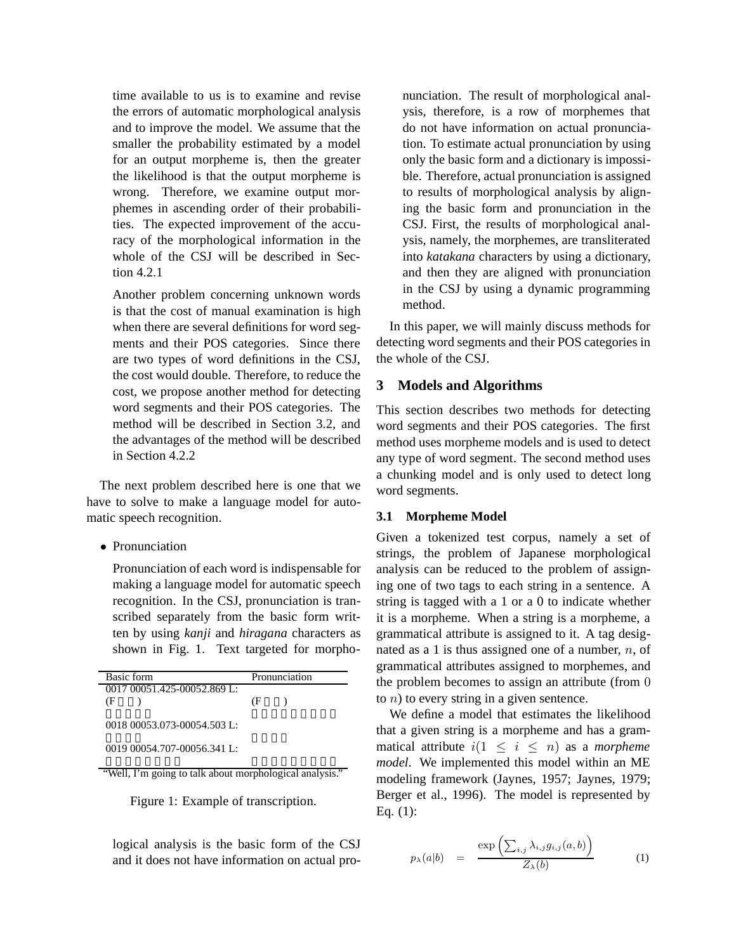time available to us is to examine and revise the errors of automatic morphological analysis and to improve the model. We assume that the smaller the probability estimated by a model for an output morpheme is, then the greater the likelihood is that the output morpheme is wrong. Therefore, we examine output morphemes in ascending order of their probabilities. The expected improvement of the accuracy of the morphological information in the whole of the CSJ will be described in Section 4.2.1

Another problem concerning unknown words is that the cost of manual examination is high when there are several definitions for word segments and their POS categories. Since there are two types of word definitions in the CSJ, the cost would double. Therefore, to reduce the cost, we propose another method for detecting word segments and their POS categories. The method will be described in Section 3.2, and the advantages of the method will be described in Section 4.2.2

The next problem described here is one that we have to solve to make a language model for automatic speech recognition.

• Pronunciation

Pronunciation of each word is indispensable for making a language model for automatic speech recognition. In the CSJ, pronunciation is transcribed separately from the basic form written by using *kanji* and *hiragana* characters as shown in Fig. 1. Text targeted for morpho-

| Basic form                  |    | Pronunciation |
|-----------------------------|----|---------------|
| 0017 00051.425-00052.869 L: |    |               |
| Œ                           | Œ. |               |
| $001800053073-000545031:$   |    |               |
| 0019 00054.707-00056.341 L: |    |               |

"Well, I'm going to talk about morphological analysis."

Figure 1: Example of transcription.

logical analysis is the basic form of the CSJ and it does not have information on actual pronunciation. The result of morphological analysis, therefore, is a row of morphemes that do not have information on actual pronunciation. To estimate actual pronunciation by using only the basic form and a dictionary is impossible. Therefore, actual pronunciation is assigned to results of morphological analysis by aligning the basic form and pronunciation in the CSJ. First, the results of morphological analysis, namely, the morphemes, are transliterated into *katakana* characters by using a dictionary, and then they are aligned with pronunciation in the CSJ by using a dynamic programming method.

In this paper, we will mainly discuss methods for detecting word segments and their POS categories in the whole of the CSJ.

# **3 Models and Algorithms**

This section describes two methods for detecting word segments and their POS categories. The first method uses morpheme models and is used to detect any type of word segment. The second method uses a chunking model and is only used to detect long word segments.

# **3.1 Morpheme Model**

Given a tokenized test corpus, namely a set of strings, the problem of Japanese morphological analysis can be reduced to the problem of assigning one of two tags to each string in a sentence. A string is tagged with a 1 or a 0 to indicate whether it is a morpheme. When a string is a morpheme, a grammatical attribute is assigned to it. A tag designated as a 1 is thus assigned one of a number, *n*, of grammatical attributes assigned to morphemes, and the problem becomes to assign an attribute (from 0 to *n*) to every string in a given sentence.

We define a model that estimates the likelihood that a given string is a morpheme and has a grammatical attribute  $i(1 \leq i \leq n)$  as a *morpheme model*. We implemented this model within an ME modeling framework (Jaynes, 1957; Jaynes, 1979; Berger et al., 1996). The model is represented by Eq. (1):

$$
p_{\lambda}(a|b) = \frac{\exp\left(\sum_{i,j}\lambda_{i,j}g_{i,j}(a,b)\right)}{Z_{\lambda}(b)} \tag{1}
$$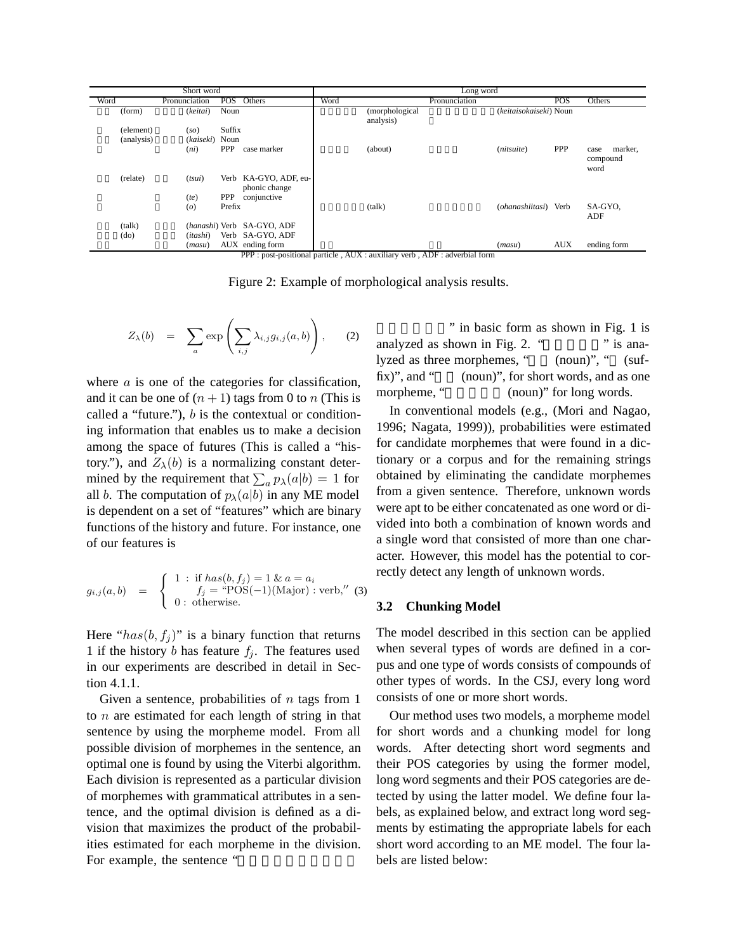|            | Short word                 |                      |                                   |      | Long word                                                                  |                        |            |                                     |
|------------|----------------------------|----------------------|-----------------------------------|------|----------------------------------------------------------------------------|------------------------|------------|-------------------------------------|
| Word       | Pronunciation              | <b>POS</b>           | Others                            | Word | Pronunciation                                                              |                        | <b>POS</b> | Others                              |
| (form)     | (keitai)                   | Noun                 |                                   |      | (morphological<br>analysis)                                                | (keitaisokaiseki) Noun |            |                                     |
| (element)  | (so)                       | Suffix               |                                   |      |                                                                            |                        |            |                                     |
| (analysis) | (kaiseki)                  | Noun                 |                                   |      |                                                                            |                        |            |                                     |
|            | (ni)                       | <b>PPP</b>           | case marker                       |      | (about)                                                                    | (nitsuite)             | <b>PPP</b> | marker,<br>case<br>compound<br>word |
| (relate)   | (tsui)                     | Verb                 | KA-GYO, ADF, eu-<br>phonic change |      |                                                                            |                        |            |                                     |
|            | (te)<br>$\left( o \right)$ | <b>PPP</b><br>Prefix | conjunctive                       |      | (talk)                                                                     | (ohanashiitasi) Verb   |            | SA-GYO.<br>ADF                      |
| (talk)     |                            |                      | (hanashi) Verb SA-GYO, ADF        |      |                                                                            |                        |            |                                     |
| (do)       | (itashi)                   |                      | Verb SA-GYO, ADF                  |      |                                                                            |                        |            |                                     |
|            | (masu)                     |                      | AUX ending form                   |      |                                                                            | (maxu)                 | <b>AUX</b> | ending form                         |
|            |                            |                      |                                   |      | PPP : post-positional particle, AUX : auxiliary verb, ADF : adverbial form |                        |            |                                     |

Figure 2: Example of morphological analysis results.

$$
Z_{\lambda}(b) = \sum_{a} \exp \left( \sum_{i,j} \lambda_{i,j} g_{i,j}(a,b) \right), \quad (2)
$$

where *a* is one of the categories for classification, and it can be one of  $(n + 1)$  tags from 0 to *n* (This is called a "future."), *b* is the contextual or conditioning information that enables us to make a decision among the space of futures (This is called a "history."), and  $Z_{\lambda}(b)$  is a normalizing constant determined by the requirement that  $\sum_a p_\lambda(a|b) = 1$  for all *b*. The computation of  $p_\lambda(a|b)$  in any ME model all *b*. The computation of  $p_{\lambda}(a|b)$  in any ME model is dependent on a set of "features" which are binary functions of the history and future. For instance, one of our features is

$$
g_{i,j}(a,b) = \begin{cases} 1 : \text{if } has(b, f_j) = 1 \& a = a_i \\ f_j = \text{``POS}(-1)(\text{Major}) : \text{verb," (3)} \\ 0 : \text{otherwise.} \end{cases}
$$

Here " $has(b, f<sub>i</sub>)$ " is a binary function that returns 1 if the history *b* has feature  $f_i$ . The features used in our experiments are described in detail in Section 4.1.1.

Given a sentence, probabilities of *n* tags from 1 to *n* are estimated for each length of string in that sentence by using the morpheme model. From all possible division of morphemes in the sentence, an optimal one is found by using the Viterbi algorithm. Each division is represented as a particular division of morphemes with grammatical attributes in a sentence, and the optimal division is defined as a division that maximizes the product of the probabilities estimated for each morpheme in the division. For example, the sentence "

" in basic form as shown in Fig. 1 is analyzed as shown in Fig. 2. " $\cdots$  " is analyzed as three morphemes, " (noun)", " (suffix)", and " $(noun)$ ", for short words, and as one morpheme, "
(noun)" for long words.

In conventional models (e.g., (Mori and Nagao, 1996; Nagata, 1999)), probabilities were estimated for candidate morphemes that were found in a dictionary or a corpus and for the remaining strings obtained by eliminating the candidate morphemes from a given sentence. Therefore, unknown words were apt to be either concatenated as one word or divided into both a combination of known words and a single word that consisted of more than one character. However, this model has the potential to correctly detect any length of unknown words.

## **3.2 Chunking Model**

The model described in this section can be applied when several types of words are defined in a corpus and one type of words consists of compounds of other types of words. In the CSJ, every long word consists of one or more short words.

Our method uses two models, a morpheme model for short words and a chunking model for long words. After detecting short word segments and their POS categories by using the former model, long word segments and their POS categories are detected by using the latter model. We define four labels, as explained below, and extract long word segments by estimating the appropriate labels for each short word according to an ME model. The four labels are listed below: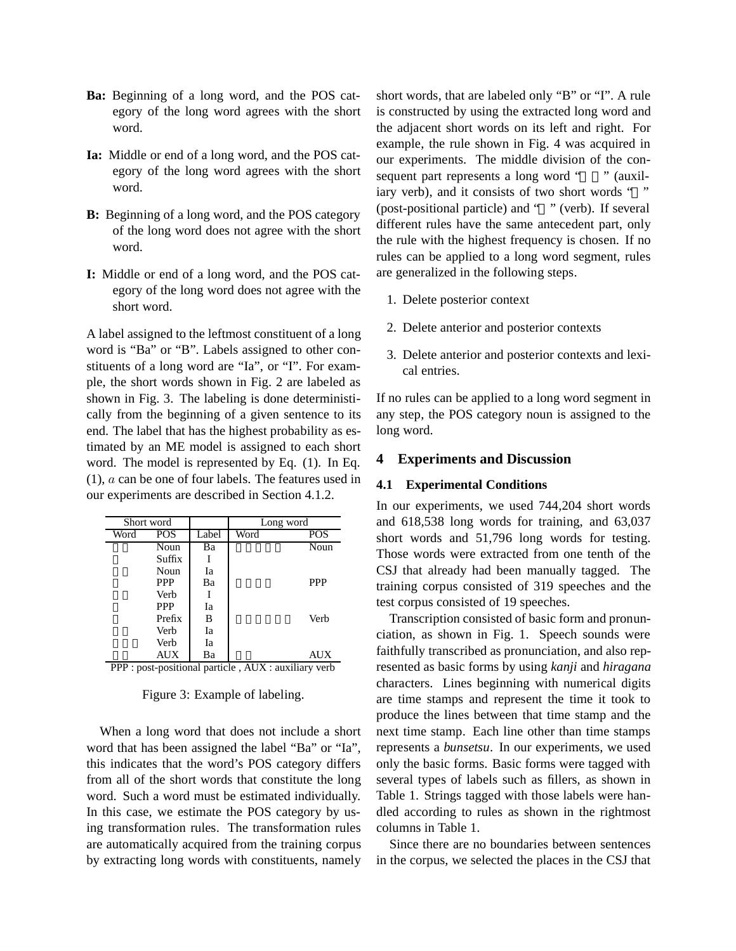- **Ba:** Beginning of a long word, and the POS category of the long word agrees with the short word.
- **Ia:** Middle or end of a long word, and the POS category of the long word agrees with the short word.
- **B:** Beginning of a long word, and the POS category of the long word does not agree with the short word.
- **I:** Middle or end of a long word, and the POS category of the long word does not agree with the short word.

A label assigned to the leftmost constituent of a long word is "Ba" or "B". Labels assigned to other constituents of a long word are "Ia", or "I". For example, the short words shown in Fig. 2 are labeled as shown in Fig. 3. The labeling is done deterministically from the beginning of a given sentence to its end. The label that has the highest probability as estimated by an ME model is assigned to each short word. The model is represented by Eq. (1). In Eq. (1), *a* can be one of four labels. The features used in our experiments are described in Section 4.1.2.

| Short word |            |       | Long word |            |
|------------|------------|-------|-----------|------------|
| Word       | <b>POS</b> | Label | Word      | POS        |
|            | Noun       | Ba    |           | Noun       |
|            | Suffix     |       |           |            |
|            | Noun       | Ia    |           |            |
|            | <b>PPP</b> | Ba    |           | <b>PPP</b> |
|            | Verb       |       |           |            |
|            | <b>PPP</b> | Iа    |           |            |
|            | Prefix     | B     |           | Verb       |
|            | Verb       | Ia    |           |            |
|            | Verb       | Ia    |           |            |
|            | <b>AUX</b> | Ba    |           | AUX        |

PPP : post-positional particle , AUX : auxiliary verb

Figure 3: Example of labeling.

When a long word that does not include a short word that has been assigned the label "Ba" or "Ia", this indicates that the word's POS category differs from all of the short words that constitute the long word. Such a word must be estimated individually. In this case, we estimate the POS category by using transformation rules. The transformation rules are automatically acquired from the training corpus by extracting long words with constituents, namely short words, that are labeled only "B" or "I". A rule is constructed by using the extracted long word and the adjacent short words on its left and right. For example, the rule shown in Fig. 4 was acquired in our experiments. The middle division of the consequent part represents a long word "" (auxiliary verb), and it consists of two short words " " (post-positional particle) and " " (verb). If several different rules have the same antecedent part, only the rule with the highest frequency is chosen. If no rules can be applied to a long word segment, rules are generalized in the following steps.

- 1. Delete posterior context
- 2. Delete anterior and posterior contexts
- 3. Delete anterior and posterior contexts and lexical entries.

If no rules can be applied to a long word segment in any step, the POS category noun is assigned to the long word.

### **4 Experiments and Discussion**

#### **4.1 Experimental Conditions**

In our experiments, we used 744,204 short words and 618,538 long words for training, and 63,037 short words and 51,796 long words for testing. Those words were extracted from one tenth of the CSJ that already had been manually tagged. The training corpus consisted of 319 speeches and the test corpus consisted of 19 speeches.

Transcription consisted of basic form and pronunciation, as shown in Fig. 1. Speech sounds were faithfully transcribed as pronunciation, and also represented as basic forms by using *kanji* and *hiragana* characters. Lines beginning with numerical digits are time stamps and represent the time it took to produce the lines between that time stamp and the next time stamp. Each line other than time stamps represents a *bunsetsu*. In our experiments, we used only the basic forms. Basic forms were tagged with several types of labels such as fillers, as shown in Table 1. Strings tagged with those labels were handled according to rules as shown in the rightmost columns in Table 1.

Since there are no boundaries between sentences in the corpus, we selected the places in the CSJ that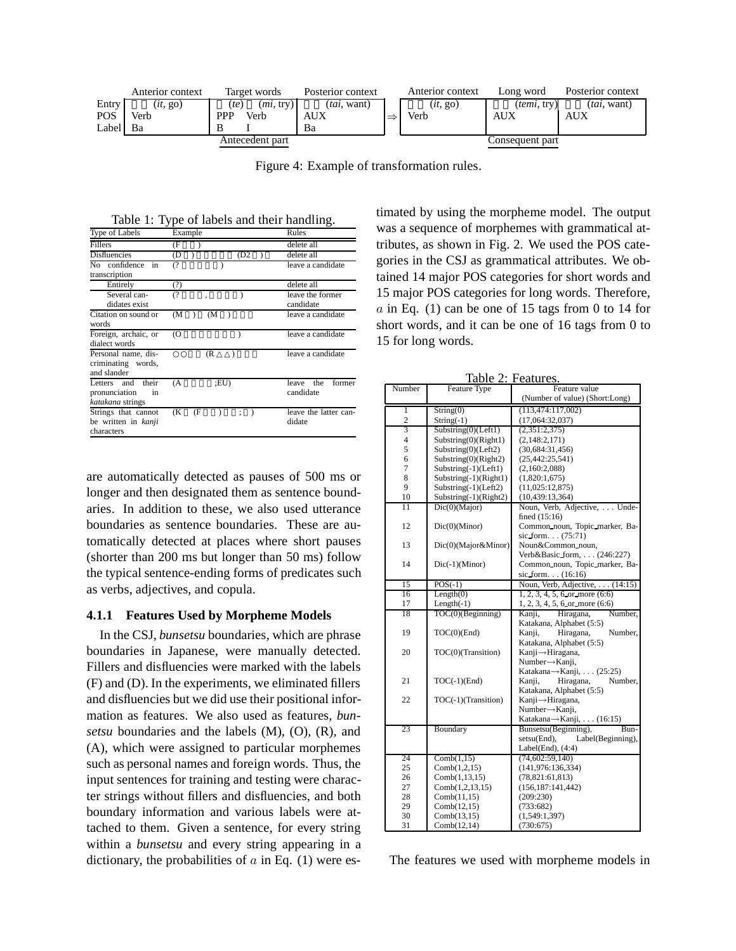

Figure 4: Example of transformation rules.

Table 1: Type of labels and their handling.

| Type of Labels                                                     | Example                    | Rules                               |
|--------------------------------------------------------------------|----------------------------|-------------------------------------|
| Fillers                                                            | Œ                          | delete all                          |
| <b>Disfluencies</b>                                                | (D<br>(D2)                 | delete all                          |
| confidence<br>N <sub>0</sub><br>in<br>transcription                | $\overline{()}$            | leave a candidate                   |
| Entirely                                                           | (?)                        | delete all                          |
| Several can-<br>didates exist                                      | (                          | leave the former<br>candidate       |
| Citation on sound or<br>words                                      | (M<br>(M                   | leave a candidate                   |
| Foreign, archaic, or<br>dialect words                              | <b>O</b>                   | leave a candidate                   |
| Personal name, dis-<br>criminating words,<br>and slander           | (R                         | leave a candidate                   |
| Letters<br>and<br>their<br>pronunciation<br>in<br>katakana strings | :EU)<br>(A                 | the<br>former<br>leave<br>candidate |
| Strings that cannot<br>be written in kanji<br>characters           | (K<br>(F<br>$\ddot{\cdot}$ | leave the latter can-<br>didate     |

are automatically detected as pauses of 500 ms or longer and then designated them as sentence boundaries. In addition to these, we also used utterance boundaries as sentence boundaries. These are automatically detected at places where short pauses (shorter than 200 ms but longer than 50 ms) follow the typical sentence-ending forms of predicates such as verbs, adjectives, and copula.

### **4.1.1 Features Used by Morpheme Models**

In the CSJ, *bunsetsu* boundaries, which are phrase boundaries in Japanese, were manually detected. Fillers and disfluencies were marked with the labels (F) and (D). In the experiments, we eliminated fillers and disfluencies but we did use their positional information as features. We also used as features, *bunsetsu* boundaries and the labels (M), (O), (R), and (A), which were assigned to particular morphemes such as personal names and foreign words. Thus, the input sentences for training and testing were character strings without fillers and disfluencies, and both boundary information and various labels were attached to them. Given a sentence, for every string within a *bunsetsu* and every string appearing in a dictionary, the probabilities of *a* in Eq. (1) were estimated by using the morpheme model. The output was a sequence of morphemes with grammatical attributes, as shown in Fig. 2. We used the POS categories in the CSJ as grammatical attributes. We obtained 14 major POS categories for short words and 15 major POS categories for long words. Therefore,  $a$  in Eq. (1) can be one of 15 tags from 0 to 14 for short words, and it can be one of 16 tags from 0 to 15 for long words.

| Table 2: Features.       |                               |                                    |  |  |
|--------------------------|-------------------------------|------------------------------------|--|--|
| Number                   | Feature Type<br>Feature value |                                    |  |  |
|                          |                               | (Number of value) (Short:Long)     |  |  |
| ī                        | String(0)                     | (113, 474: 117, 002)               |  |  |
| $\overline{c}$           | String $(-1)$                 | (17,064:32,037)                    |  |  |
| $\overline{3}$           | Substring(0)(Left1)           | (2,351:2,375)                      |  |  |
| $\overline{\mathcal{L}}$ | Substring(0)(Right1)          | (2,148:2,171)                      |  |  |
| 5                        | Substring(0)(Left2)           | (30,684:31,456)                    |  |  |
| 6                        | Substring(0)(Right2)          | (25, 442: 25, 541)                 |  |  |
| 7                        | Substring(-1)(Left1)          | (2,160:2,088)                      |  |  |
| 8                        | Substring $(-1)$ (Right1)     | (1,820:1,675)                      |  |  |
| 9                        | Substring $(-1)$ (Left2)      | (11,025:12,875)                    |  |  |
| 10                       | Substring(-1)(Right2)         | (10, 439: 13, 364)                 |  |  |
| 11                       | Dic(0)(Major)                 | Noun, Verb, Adjective,  Unde-      |  |  |
|                          |                               | fined $(15:16)$                    |  |  |
| 12                       | Dic(0)(Minor)                 | Common noun, Topic marker, Ba-     |  |  |
|                          |                               | sic form $(75:71)$                 |  |  |
| 13                       | Dic(0)(Major&Minor)           | Noun&Common_noun,                  |  |  |
|                          |                               | Verb&Basic_form, (246:227)         |  |  |
| 14                       | $Dic(-1)(Minor)$              | Common noun, Topic marker, Ba-     |  |  |
|                          |                               | sic form. $(16:16)$                |  |  |
| 15                       | $POS(-1)$                     | Noun, Verb, Adjective, (14:15)     |  |  |
| 16                       | Length(0)                     | $1, 2, 3, 4, 5, 6$ or more $(6.6)$ |  |  |
| 17                       | $Length(-1)$                  | $1, 2, 3, 4, 5, 6$ or more $(6:6)$ |  |  |
| 18                       | TOC(0)(Beginning)             | Hiragana,<br>Number.<br>Kanji,     |  |  |
|                          |                               | Katakana, Alphabet (5:5)           |  |  |
| 19                       | $TOC(0)$ (End)                | Hiragana,<br>Number.<br>Kanji,     |  |  |
|                          |                               | Katakana, Alphabet (5:5)           |  |  |
| 20                       | TOC(0)(Transition)            | Kanji→Hiragana,                    |  |  |
|                          |                               | Number→Kanji,                      |  |  |
|                          |                               | Katakana→Kanji, (25:25)            |  |  |
| 21                       | $TOC(-1)(End)$                | Number,<br>Kanji,<br>Hiragana,     |  |  |
|                          |                               | Katakana, Alphabet (5:5)           |  |  |
| 22                       | TOC(-1)(Transition)           | Kanji → Hiragana,                  |  |  |
|                          |                               | Number→Kanji,                      |  |  |
|                          |                               | Katakana→ Kanji, (16:15)           |  |  |
| 23                       | Boundary                      | Bunsetsu(Beginning),<br>Bun-       |  |  |
|                          |                               | setsu(End),<br>Label(Beginning),   |  |  |
|                          |                               | Label(End), $(4:4)$                |  |  |
| 24                       | Comb(1,15)                    | (74, 602:59, 140)                  |  |  |
| 25                       | Comb(1,2,15)                  | (141, 976: 136, 334)               |  |  |
| 26                       | Comb(1, 13, 15)               | (78, 821: 61, 813)                 |  |  |
| 27                       | Comb(1,2,13,15)               | (156, 187: 141, 442)               |  |  |
| 28                       | Comb(11,15)                   | (209:230)                          |  |  |
| 29                       | Comb(12,15)                   | (733:682)                          |  |  |
| 30                       | Comb(13,15)                   | (1,549:1,397)                      |  |  |
| 31                       | Comb(12,14)                   | (730:675)                          |  |  |

The features we used with morpheme models in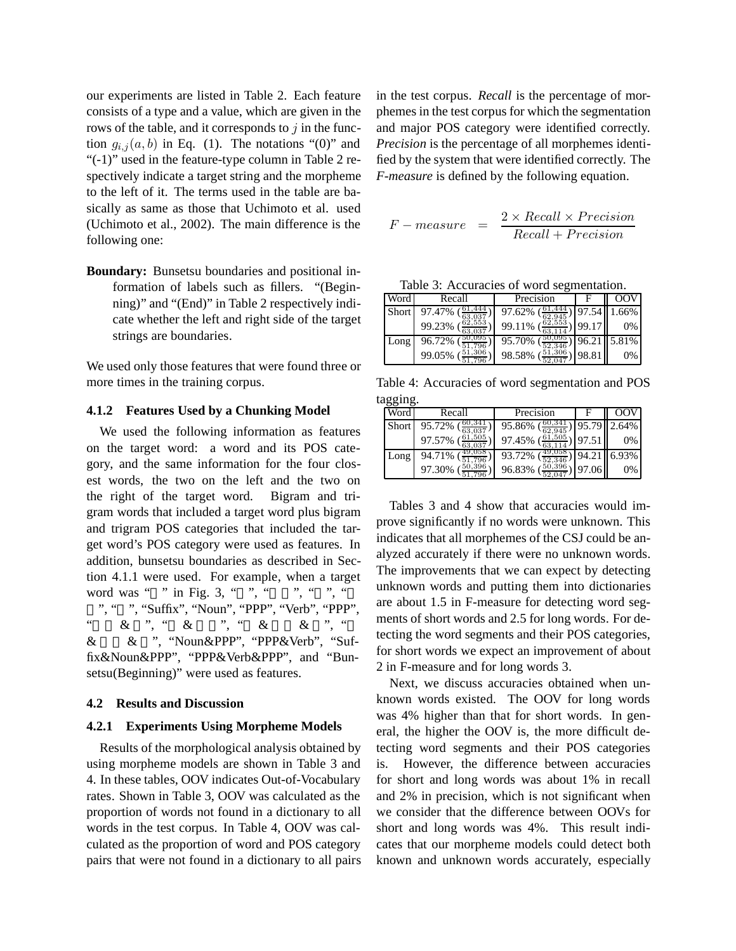our experiments are listed in Table 2. Each feature consists of a type and a value, which are given in the rows of the table, and it corresponds to *j* in the function  $g_{i,j}(a, b)$  in Eq. (1). The notations "(0)" and "(-1)" used in the feature-type column in Table 2 respectively indicate a target string and the morpheme to the left of it. The terms used in the table are basically as same as those that Uchimoto et al. used (Uchimoto et al., 2002). The main difference is the following one:

**Boundary:** Bunsetsu boundaries and positional information of labels such as fillers. "(Beginning)" and "(End)" in Table 2 respectively indicate whether the left and right side of the target strings are boundaries.

We used only those features that were found three or more times in the training corpus.

### **4.1.2 Features Used by a Chunking Model**

We used the following information as features on the target word: a word and its POS category, and the same information for the four closest words, the two on the left and the two on the right of the target word. Bigram and trigram words that included a target word plus bigram and trigram POS categories that included the target word's POS category were used as features. In addition, bunsetsu boundaries as described in Section 4.1.1 were used. For example, when a target word was " " in Fig. 3, " ", "  $\cdots$ , ", " ", "Suffix", "Noun", "PPP", "Verb", "PPP",  $\alpha$  & ", " & ", " & & ", " & & ", "Noun&PPP", "PPP&Verb", "Suffix&Noun&PPP", "PPP&Verb&PPP", and "Bunsetsu(Beginning)" were used as features.

### **4.2 Results and Discussion**

### **4.2.1 Experiments Using Morpheme Models**

Results of the morphological analysis obtained by using morpheme models are shown in Table 3 and 4. In these tables, OOV indicates Out-of-Vocabulary rates. Shown in Table 3, OOV was calculated as the proportion of words not found in a dictionary to all words in the test corpus. In Table 4, OOV was calculated as the proportion of word and POS category pairs that were not found in a dictionary to all pairs in the test corpus. *Recall* is the percentage of morphemes in the test corpus for which the segmentation and major POS category were identified correctly. *Precision* is the percentage of all morphemes identified by the system that were identified correctly. The *F-measure* is defined by the following equation.

$$
F-measure = \frac{2 \times Recall \times Precision}{Recall + Precision}
$$

| Word  | Recall           | Precision        |       | oov         |
|-------|------------------|------------------|-------|-------------|
| Short | 97.47%           | 97.62%           | 97.54 | 1.66%       |
|       | 62.553<br>99.23% | 62,553<br>99.11% | 99.17 | 0%          |
| Long  | 96.72%           | 95.70%           |       | 96.21 5.81% |
|       | 99.05%           | 98.58%           | 98.81 | 0%          |

Table 4: Accuracies of word segmentation and POS tagging.

| Word  | Recall | Precision        |       | ററ          |
|-------|--------|------------------|-------|-------------|
| Short | 95.72% | 95.86%           |       | 95.79 2.64% |
|       | 97.57% | 61,505<br>97.45% | 97.51 | 0%          |
| Long  | 94.71% | 93.72%           | 94.21 | 6.93%       |
|       | 97.30% | 96.83%           | 97.06 | 0%          |

Tables 3 and 4 show that accuracies would improve significantly if no words were unknown. This indicates that all morphemes of the CSJ could be analyzed accurately if there were no unknown words. The improvements that we can expect by detecting unknown words and putting them into dictionaries are about 1.5 in F-measure for detecting word segments of short words and 2.5 for long words. For detecting the word segments and their POS categories, for short words we expect an improvement of about 2 in F-measure and for long words 3.

Next, we discuss accuracies obtained when unknown words existed. The OOV for long words was 4% higher than that for short words. In general, the higher the OOV is, the more difficult detecting word segments and their POS categories is. However, the difference between accuracies for short and long words was about 1% in recall and 2% in precision, which is not significant when we consider that the difference between OOVs for short and long words was 4%. This result indicates that our morpheme models could detect both known and unknown words accurately, especially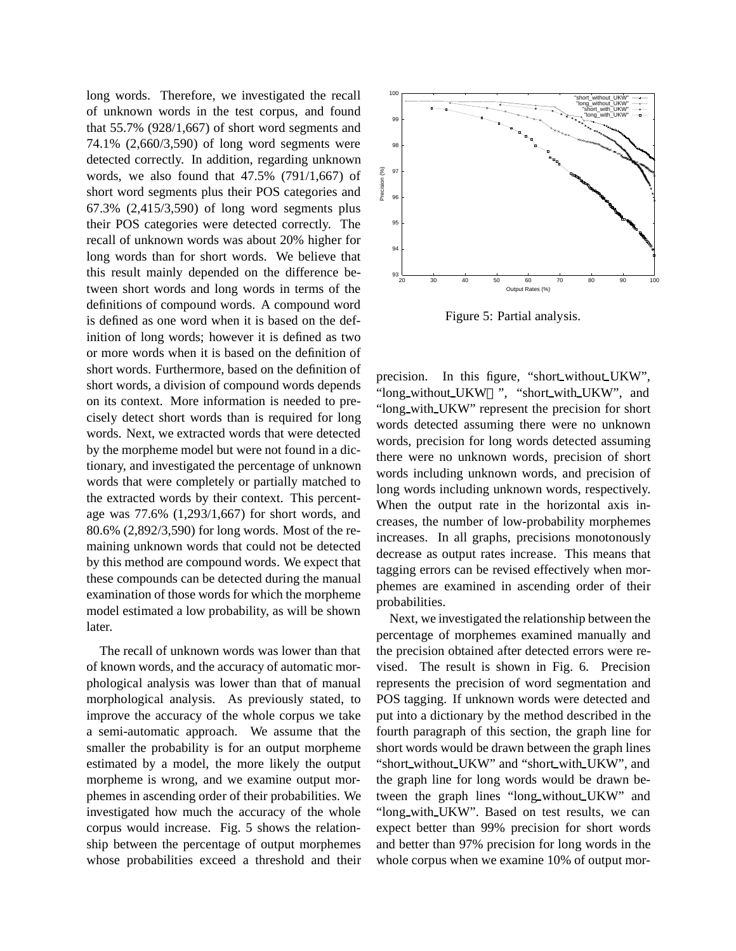long words. Therefore, we investigated the recall of unknown words in the test corpus, and found that 55.7% (928/1,667) of short word segments and 74.1% (2,660/3,590) of long word segments were detected correctly. In addition, regarding unknown words, we also found that 47.5% (791/1,667) of short word segments plus their POS categories and 67.3% (2,415/3,590) of long word segments plus their POS categories were detected correctly. The recall of unknown words was about 20% higher for long words than for short words. We believe that this result mainly depended on the difference between short words and long words in terms of the definitions of compound words. A compound word is defined as one word when it is based on the definition of long words; however it is defined as two or more words when it is based on the definition of short words. Furthermore, based on the definition of short words, a division of compound words depends on its context. More information is needed to precisely detect short words than is required for long words. Next, we extracted words that were detected by the morpheme model but were not found in a dictionary, and investigated the percentage of unknown words that were completely or partially matched to the extracted words by their context. This percentage was 77.6% (1,293/1,667) for short words, and 80.6% (2,892/3,590) for long words. Most of the remaining unknown words that could not be detected by this method are compound words. We expect that these compounds can be detected during the manual examination of those words for which the morpheme model estimated a low probability, as will be shown later.

The recall of unknown words was lower than that of known words, and the accuracy of automatic morphological analysis was lower than that of manual morphological analysis. As previously stated, to improve the accuracy of the whole corpus we take a semi-automatic approach. We assume that the smaller the probability is for an output morpheme estimated by a model, the more likely the output morpheme is wrong, and we examine output morphemes in ascending order of their probabilities. We investigated how much the accuracy of the whole corpus would increase. Fig. 5 shows the relationship between the percentage of output morphemes whose probabilities exceed a threshold and their



Figure 5: Partial analysis.

precision. In this figure, "short without UKW", "long\_without\_UKW ", "short\_with\_UKW", and "long with UKW" represent the precision for short words detected assuming there were no unknown words, precision for long words detected assuming there were no unknown words, precision of short words including unknown words, and precision of long words including unknown words, respectively. When the output rate in the horizontal axis increases, the number of low-probability morphemes increases. In all graphs, precisions monotonously decrease as output rates increase. This means that tagging errors can be revised effectively when morphemes are examined in ascending order of their probabilities.

Next, we investigated the relationship between the percentage of morphemes examined manually and the precision obtained after detected errors were revised. The result is shown in Fig. 6. Precision represents the precision of word segmentation and POS tagging. If unknown words were detected and put into a dictionary by the method described in the fourth paragraph of this section, the graph line for short words would be drawn between the graph lines "short\_without\_UKW" and "short\_with\_UKW", and the graph line for long words would be drawn between the graph lines "long without UKW" and "long\_with\_UKW". Based on test results, we can expect better than 99% precision for short words and better than 97% precision for long words in the whole corpus when we examine 10% of output mor-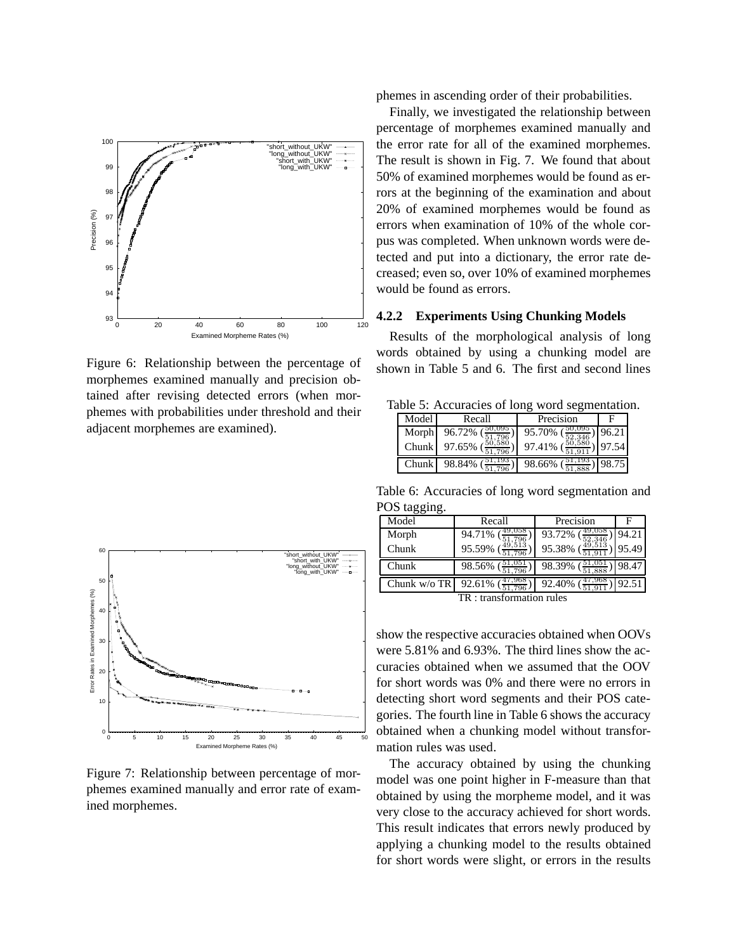

Figure 6: Relationship between the percentage of morphemes examined manually and precision obtained after revising detected errors (when morphemes with probabilities under threshold and their adjacent morphemes are examined).



Figure 7: Relationship between percentage of morphemes examined manually and error rate of examined morphemes.

phemes in ascending order of their probabilities.

Finally, we investigated the relationship between percentage of morphemes examined manually and the error rate for all of the examined morphemes. The result is shown in Fig. 7. We found that about 50% of examined morphemes would be found as errors at the beginning of the examination and about 20% of examined morphemes would be found as errors when examination of 10% of the whole corpus was completed. When unknown words were detected and put into a dictionary, the error rate decreased; even so, over 10% of examined morphemes would be found as errors.

## **4.2.2 Experiments Using Chunking Models**

Results of the morphological analysis of long words obtained by using a chunking model are shown in Table 5 and 6. The first and second lines

Table 5: Accuracies of long word segmentation.

| Model        | Recall       | Precision |       |
|--------------|--------------|-----------|-------|
|              | Morph 96.72% | 95.70%    | 96.21 |
| Chunk        | 97.65%       | 97.41%    | 97.54 |
| <b>Chunk</b> | 98.84%       | 98.66%    | 98.75 |

Table 6: Accuracies of long word segmentation and POS tagging.

| ັ<br>ັ               |                  |                  |       |  |
|----------------------|------------------|------------------|-------|--|
| Model                | Recall           | Precision        | F     |  |
| Morph                | 94.71%           | 93.72%           | 94.21 |  |
| Chunk                | 95.59%<br>51.796 | 95.38%           | 95.49 |  |
| Chunk                | 98.56%           | 98.39%           | 98.47 |  |
| Chunk w/o TR         | 47,968<br>92.61% | 47,968<br>92.40% | 92.51 |  |
| transformation rules |                  |                  |       |  |

: transformation rules

show the respective accuracies obtained when OOVs were 5.81% and 6.93%. The third lines show the accuracies obtained when we assumed that the OOV for short words was 0% and there were no errors in detecting short word segments and their POS categories. The fourth line in Table 6 shows the accuracy obtained when a chunking model without transformation rules was used.

The accuracy obtained by using the chunking model was one point higher in F-measure than that obtained by using the morpheme model, and it was very close to the accuracy achieved for short words. This result indicates that errors newly produced by applying a chunking model to the results obtained for short words were slight, or errors in the results